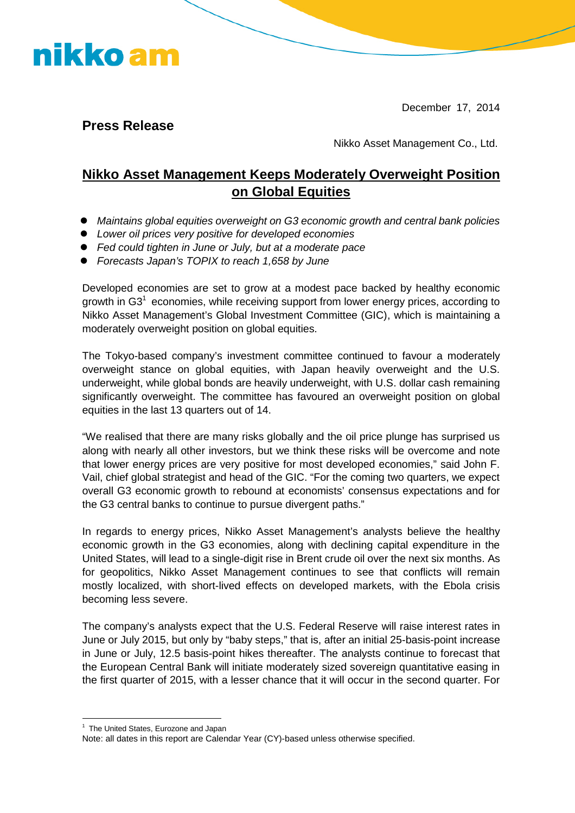December 17, 2014

**Press Release**

nikko am

Nikko Asset Management Co., Ltd.

## **Nikko Asset Management Keeps Moderately Overweight Position on Global Equities**

- *Maintains global equities overweight on G3 economic growth and central bank policies*
- *Lower oil prices very positive for developed economies*
- *Fed could tighten in June or July, but at a moderate pace*
- *Forecasts Japan's TOPIX to reach 1,658 by June*

Developed economies are set to grow at a modest pace backed by healthy economic growth in G3<sup>1</sup> economies, while receiving support from lower energy prices, according to Nikko Asset Management's Global Investment Committee (GIC), which is maintaining a moderately overweight position on global equities.

The Tokyo-based company's investment committee continued to favour a moderately overweight stance on global equities, with Japan heavily overweight and the U.S. underweight, while global bonds are heavily underweight, with U.S. dollar cash remaining significantly overweight. The committee has favoured an overweight position on global equities in the last 13 quarters out of 14.

"We realised that there are many risks globally and the oil price plunge has surprised us along with nearly all other investors, but we think these risks will be overcome and note that lower energy prices are very positive for most developed economies," said John F. Vail, chief global strategist and head of the GIC. "For the coming two quarters, we expect overall G3 economic growth to rebound at economists' consensus expectations and for the G3 central banks to continue to pursue divergent paths."

In regards to energy prices, Nikko Asset Management's analysts believe the healthy economic growth in the G3 economies, along with declining capital expenditure in the United States, will lead to a single-digit rise in Brent crude oil over the next six months. As for geopolitics, Nikko Asset Management continues to see that conflicts will remain mostly localized, with short-lived effects on developed markets, with the Ebola crisis becoming less severe.

The company's analysts expect that the U.S. Federal Reserve will raise interest rates in June or July 2015, but only by "baby steps," that is, after an initial 25-basis-point increase in June or July, 12.5 basis-point hikes thereafter. The analysts continue to forecast that the European Central Bank will initiate moderately sized sovereign quantitative easing in the first quarter of 2015, with a lesser chance that it will occur in the second quarter. For

<sup>&</sup>lt;sup>1</sup> The United States, Eurozone and Japan

Note: all dates in this report are Calendar Year (CY)-based unless otherwise specified.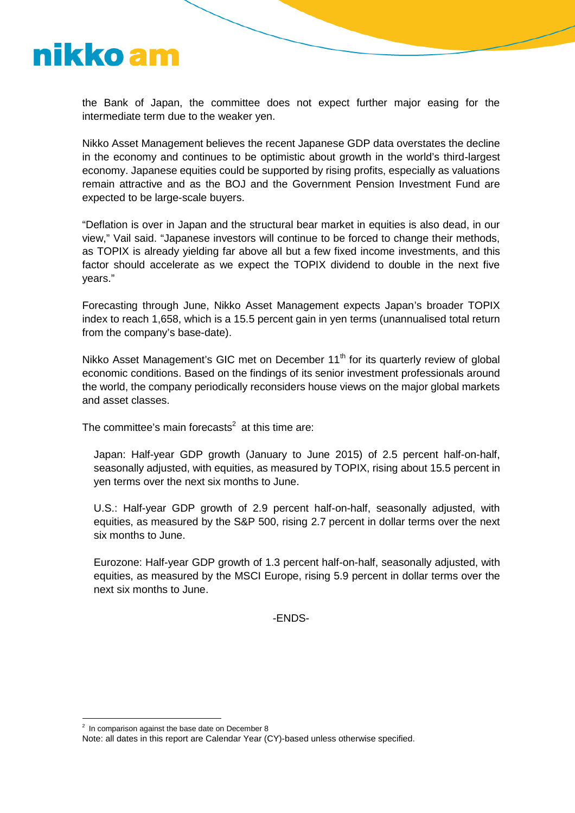

the Bank of Japan, the committee does not expect further major easing for the intermediate term due to the weaker yen.

Nikko Asset Management believes the recent Japanese GDP data overstates the decline in the economy and continues to be optimistic about growth in the world's third-largest economy. Japanese equities could be supported by rising profits, especially as valuations remain attractive and as the BOJ and the Government Pension Investment Fund are expected to be large-scale buyers.

"Deflation is over in Japan and the structural bear market in equities is also dead, in our view," Vail said. "Japanese investors will continue to be forced to change their methods, as TOPIX is already yielding far above all but a few fixed income investments, and this factor should accelerate as we expect the TOPIX dividend to double in the next five years."

Forecasting through June, Nikko Asset Management expects Japan's broader TOPIX index to reach 1,658, which is a 15.5 percent gain in yen terms (unannualised total return from the company's base-date).

Nikko Asset Management's GIC met on December 11<sup>th</sup> for its quarterly review of global economic conditions. Based on the findings of its senior investment professionals around the world, the company periodically reconsiders house views on the major global markets and asset classes.

The committee's main forecasts<sup>2</sup> at this time are:

Japan: Half-year GDP growth (January to June 2015) of 2.5 percent half-on-half, seasonally adjusted, with equities, as measured by TOPIX, rising about 15.5 percent in yen terms over the next six months to June.

U.S.: Half-year GDP growth of 2.9 percent half-on-half, seasonally adjusted, with equities, as measured by the S&P 500, rising 2.7 percent in dollar terms over the next six months to June.

Eurozone: Half-year GDP growth of 1.3 percent half-on-half, seasonally adjusted, with equities, as measured by the MSCI Europe, rising 5.9 percent in dollar terms over the next six months to June.

-ENDS-

 $2$  In comparison against the base date on December 8

Note: all dates in this report are Calendar Year (CY)-based unless otherwise specified.